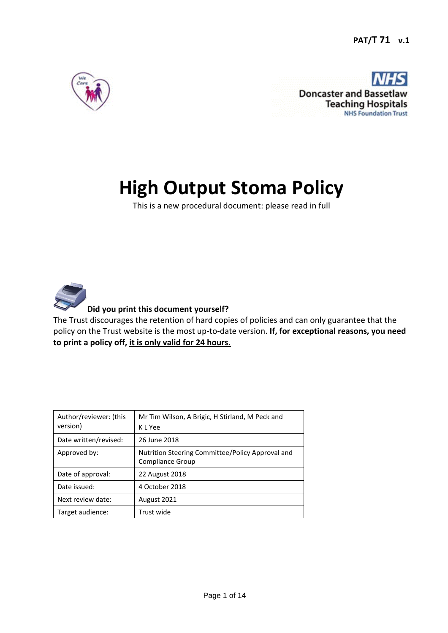

**Doncaster and Basse Teaching Hospitals NHS Foundation Trust** 

# **High Output Stoma Policy**

This is a new procedural document: please read in full



# **Did you print this document yourself?**

The Trust discourages the retention of hard copies of policies and can only guarantee that the policy on the Trust website is the most up-to-date version. **If, for exceptional reasons, you need to print a policy off, it is only valid for 24 hours.**

| Author/reviewer: (this<br>version) | Mr Tim Wilson, A Brigic, H Stirland, M Peck and<br>K L Yee           |  |  |
|------------------------------------|----------------------------------------------------------------------|--|--|
| Date written/revised:              | 26 June 2018                                                         |  |  |
| Approved by:                       | Nutrition Steering Committee/Policy Approval and<br>Compliance Group |  |  |
| Date of approval:                  | <b>22 August 2018</b>                                                |  |  |
| Date issued:                       | 4 October 2018                                                       |  |  |
| Next review date:                  | August 2021                                                          |  |  |
| Target audience:                   | Trust wide                                                           |  |  |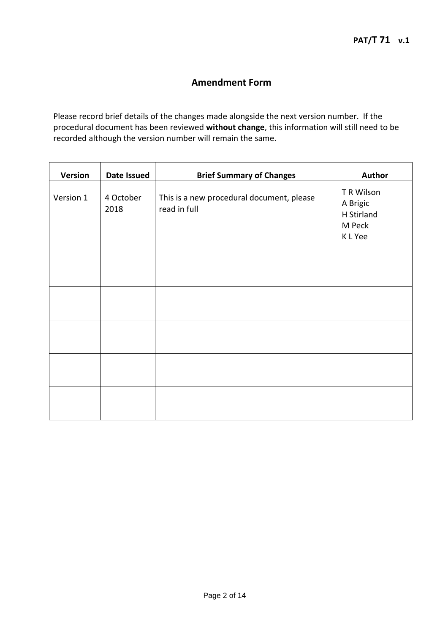# **Amendment Form**

Please record brief details of the changes made alongside the next version number. If the procedural document has been reviewed **without change**, this information will still need to be recorded although the version number will remain the same.

| <b>Version</b> | <b>Date Issued</b> | <b>Brief Summary of Changes</b>                           | <b>Author</b>                                             |
|----------------|--------------------|-----------------------------------------------------------|-----------------------------------------------------------|
| Version 1      | 4 October<br>2018  | This is a new procedural document, please<br>read in full | T R Wilson<br>A Brigic<br>H Stirland<br>M Peck<br>K L Yee |
|                |                    |                                                           |                                                           |
|                |                    |                                                           |                                                           |
|                |                    |                                                           |                                                           |
|                |                    |                                                           |                                                           |
|                |                    |                                                           |                                                           |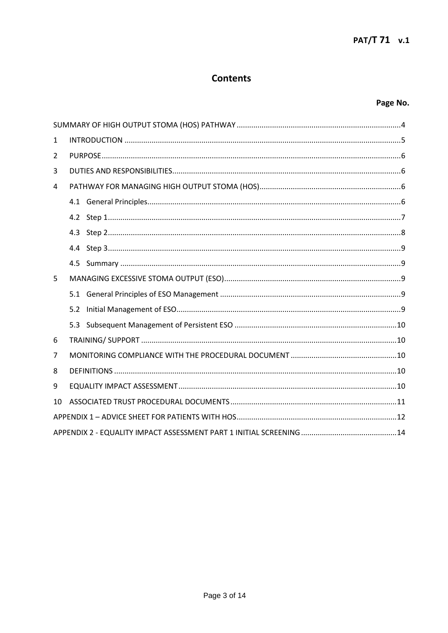# **Contents**

# Page No.

| $\mathbf{1}$ |     |  |  |  |  |
|--------------|-----|--|--|--|--|
| 2            |     |  |  |  |  |
| 3            |     |  |  |  |  |
| 4            |     |  |  |  |  |
|              |     |  |  |  |  |
|              |     |  |  |  |  |
|              |     |  |  |  |  |
|              |     |  |  |  |  |
|              | 4.5 |  |  |  |  |
| 5            |     |  |  |  |  |
|              |     |  |  |  |  |
|              | 5.2 |  |  |  |  |
|              | 5.3 |  |  |  |  |
| 6            |     |  |  |  |  |
| 7            |     |  |  |  |  |
| 8            |     |  |  |  |  |
| 9            |     |  |  |  |  |
| 10           |     |  |  |  |  |
|              |     |  |  |  |  |
|              |     |  |  |  |  |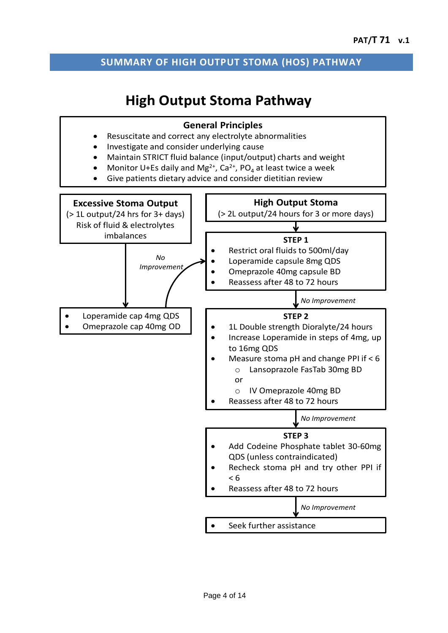# <span id="page-3-0"></span>**SUMMARY OF HIGH OUTPUT STOMA (HOS) PATHWAY**

# **High Output Stoma Pathway**

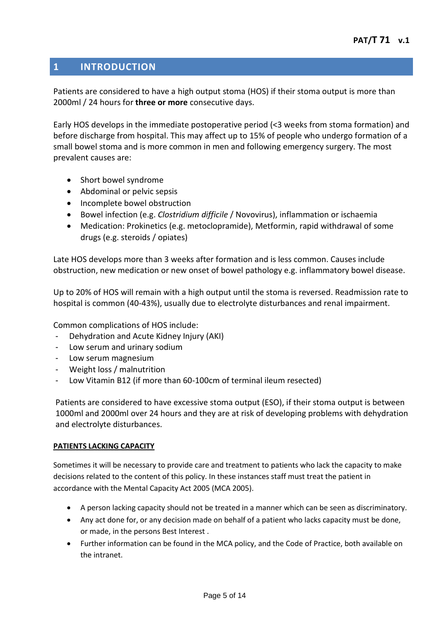# <span id="page-4-0"></span>**1 INTRODUCTION**

Patients are considered to have a high output stoma (HOS) if their stoma output is more than 2000ml / 24 hours for **three or more** consecutive days.

Early HOS develops in the immediate postoperative period (<3 weeks from stoma formation) and before discharge from hospital. This may affect up to 15% of people who undergo formation of a small bowel stoma and is more common in men and following emergency surgery. The most prevalent causes are:

- Short bowel syndrome
- Abdominal or pelvic sepsis
- Incomplete bowel obstruction
- Bowel infection (e.g. *Clostridium difficile* / Novovirus), inflammation or ischaemia
- Medication: Prokinetics (e.g. metoclopramide), Metformin, rapid withdrawal of some drugs (e.g. steroids / opiates)

Late HOS develops more than 3 weeks after formation and is less common. Causes include obstruction, new medication or new onset of bowel pathology e.g. inflammatory bowel disease.

Up to 20% of HOS will remain with a high output until the stoma is reversed. Readmission rate to hospital is common (40-43%), usually due to electrolyte disturbances and renal impairment.

Common complications of HOS include:

- Dehydration and Acute Kidney Injury (AKI)
- Low serum and urinary sodium
- Low serum magnesium
- Weight loss / malnutrition
- Low Vitamin B12 (if more than 60-100cm of terminal ileum resected)

Patients are considered to have excessive stoma output (ESO), if their stoma output is between 1000ml and 2000ml over 24 hours and they are at risk of developing problems with dehydration and electrolyte disturbances.

#### **PATIENTS LACKING CAPACITY**

Sometimes it will be necessary to provide care and treatment to patients who lack the capacity to make decisions related to the content of this policy. In these instances staff must treat the patient in accordance with the Mental Capacity Act 2005 (MCA 2005).

- A person lacking capacity should not be treated in a manner which can be seen as discriminatory.
- Any act done for, or any decision made on behalf of a patient who lacks capacity must be done, or made, in the persons Best Interest .
- Further information can be found in the MCA policy, and the Code of Practice, both available on the intranet.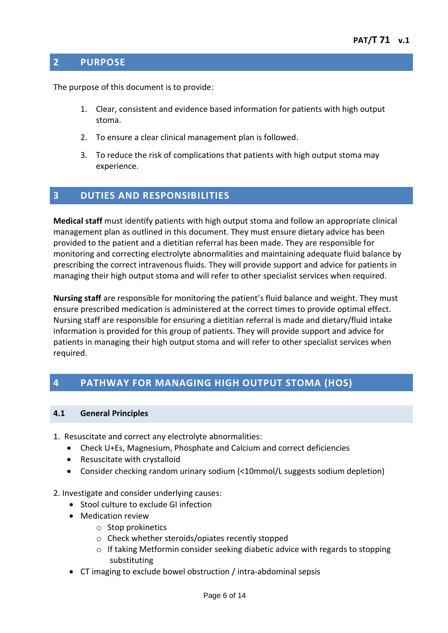### <span id="page-5-0"></span>**2 PURPOSE**

The purpose of this document is to provide:

- 1. Clear, consistent and evidence based information for patients with high output stoma.
- 2. To ensure a clear clinical management plan is followed.
- 3. To reduce the risk of complications that patients with high output stoma may experience.

# <span id="page-5-1"></span>**3 DUTIES AND RESPONSIBILITIES**

**Medical staff** must identify patients with high output stoma and follow an appropriate clinical management plan as outlined in this document. They must ensure dietary advice has been provided to the patient and a dietitian referral has been made. They are responsible for monitoring and correcting electrolyte abnormalities and maintaining adequate fluid balance by prescribing the correct intravenous fluids. They will provide support and advice for patients in managing their high output stoma and will refer to other specialist services when required.

**Nursing staff** are responsible for monitoring the patient's fluid balance and weight. They must ensure prescribed medication is administered at the correct times to provide optimal effect. Nursing staff are responsible for ensuring a dietitian referral is made and dietary/fluid intake information is provided for this group of patients. They will provide support and advice for patients in managing their high output stoma and will refer to other specialist services when required.

# <span id="page-5-2"></span>**4 PATHWAY FOR MANAGING HIGH OUTPUT STOMA (HOS)**

#### <span id="page-5-3"></span>**4.1 General Principles**

- 1. Resuscitate and correct any electrolyte abnormalities:
	- Check U+Es, Magnesium, Phosphate and Calcium and correct deficiencies
	- Resuscitate with crystalloid
	- Consider checking random urinary sodium (<10mmol/L suggests sodium depletion)

#### 2. Investigate and consider underlying causes:

- Stool culture to exclude GI infection
- Medication review
	- o Stop prokinetics
	- o Check whether steroids/opiates recently stopped
	- $\circ$  If taking Metformin consider seeking diabetic advice with regards to stopping substituting
- CT imaging to exclude bowel obstruction / intra-abdominal sepsis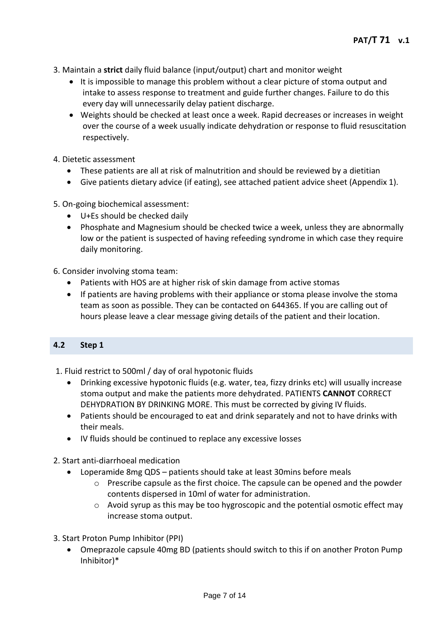- 3. Maintain a **strict** daily fluid balance (input/output) chart and monitor weight
	- It is impossible to manage this problem without a clear picture of stoma output and intake to assess response to treatment and guide further changes. Failure to do this every day will unnecessarily delay patient discharge.
	- Weights should be checked at least once a week. Rapid decreases or increases in weight over the course of a week usually indicate dehydration or response to fluid resuscitation respectively.
- 4. Dietetic assessment
	- These patients are all at risk of malnutrition and should be reviewed by a dietitian
	- Give patients dietary advice (if eating), see attached patient advice sheet (Appendix 1).
- 5. On-going biochemical assessment:
	- U+Es should be checked daily
	- Phosphate and Magnesium should be checked twice a week, unless they are abnormally low or the patient is suspected of having refeeding syndrome in which case they require daily monitoring.

6. Consider involving stoma team:

- Patients with HOS are at higher risk of skin damage from active stomas
- If patients are having problems with their appliance or stoma please involve the stoma team as soon as possible. They can be contacted on 644365. If you are calling out of hours please leave a clear message giving details of the patient and their location.

#### <span id="page-6-0"></span>**4.2 Step 1**

- 1. Fluid restrict to 500ml / day of oral hypotonic fluids
	- Drinking excessive hypotonic fluids (e.g. water, tea, fizzy drinks etc) will usually increase stoma output and make the patients more dehydrated. PATIENTS **CANNOT** CORRECT DEHYDRATION BY DRINKING MORE. This must be corrected by giving IV fluids.
	- Patients should be encouraged to eat and drink separately and not to have drinks with their meals.
	- IV fluids should be continued to replace any excessive losses
- 2. Start anti-diarrhoeal medication
	- Loperamide 8mg QDS patients should take at least 30mins before meals
		- $\circ$  Prescribe capsule as the first choice. The capsule can be opened and the powder contents dispersed in 10ml of water for administration.
		- o Avoid syrup as this may be too hygroscopic and the potential osmotic effect may increase stoma output.
- 3. Start Proton Pump Inhibitor (PPI)
	- Omeprazole capsule 40mg BD (patients should switch to this if on another Proton Pump Inhibitor)\*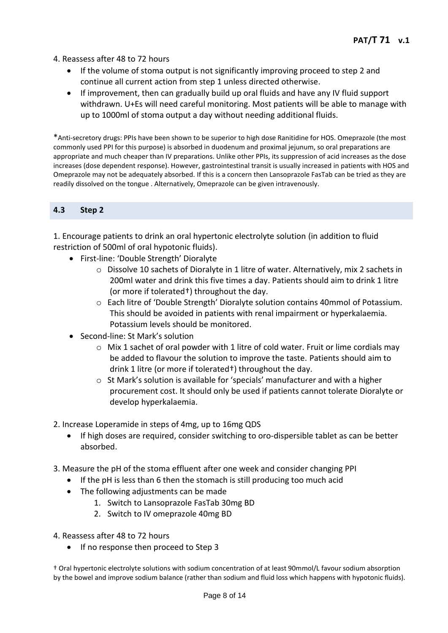4. Reassess after 48 to 72 hours

- If the volume of stoma output is not significantly improving proceed to step 2 and continue all current action from step 1 unless directed otherwise.
- If improvement, then can gradually build up oral fluids and have any IV fluid support withdrawn. U+Es will need careful monitoring. Most patients will be able to manage with up to 1000ml of stoma output a day without needing additional fluids.

\*Anti-secretory drugs: PPIs have been shown to be superior to high dose Ranitidine for HOS. Omeprazole (the most commonly used PPI for this purpose) is absorbed in duodenum and proximal jejunum, so oral preparations are appropriate and much cheaper than IV preparations. Unlike other PPIs, its suppression of acid increases as the dose increases (dose dependent response). However, gastrointestinal transit is usually increased in patients with HOS and Omeprazole may not be adequately absorbed. If this is a concern then Lansoprazole FasTab can be tried as they are readily dissolved on the tongue . Alternatively, Omeprazole can be given intravenously.

#### <span id="page-7-0"></span>**4.3 Step 2**

1. Encourage patients to drink an oral hypertonic electrolyte solution (in addition to fluid restriction of 500ml of oral hypotonic fluids).

- First-line: 'Double Strength' Dioralyte
	- o Dissolve 10 sachets of Dioralyte in 1 litre of water. Alternatively, mix 2 sachets in 200ml water and drink this five times a day. Patients should aim to drink 1 litre (or more if tolerated†) throughout the day.
	- o Each litre of 'Double Strength' Dioralyte solution contains 40mmol of Potassium. This should be avoided in patients with renal impairment or hyperkalaemia. Potassium levels should be monitored.
- Second-line: St Mark's solution
	- o Mix 1 sachet of oral powder with 1 litre of cold water. Fruit or lime cordials may be added to flavour the solution to improve the taste. Patients should aim to drink 1 litre (or more if tolerated†) throughout the day.
	- o St Mark's solution is available for 'specials' manufacturer and with a higher procurement cost. It should only be used if patients cannot tolerate Dioralyte or develop hyperkalaemia.
- 2. Increase Loperamide in steps of 4mg, up to 16mg QDS
	- If high doses are required, consider switching to oro-dispersible tablet as can be better absorbed.
- 3. Measure the pH of the stoma effluent after one week and consider changing PPI
	- If the pH is less than 6 then the stomach is still producing too much acid
	- The following adjustments can be made
		- 1. Switch to Lansoprazole FasTab 30mg BD
		- 2. Switch to IV omeprazole 40mg BD
- 4. Reassess after 48 to 72 hours
	- If no response then proceed to Step 3

† Oral hypertonic electrolyte solutions with sodium concentration of at least 90mmol/L favour sodium absorption by the bowel and improve sodium balance (rather than sodium and fluid loss which happens with hypotonic fluids).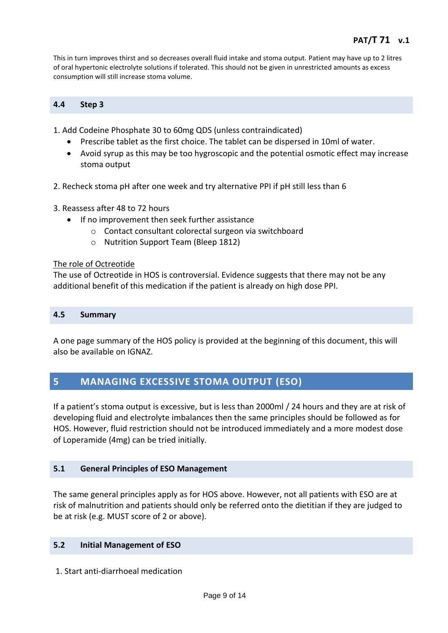This in turn improves thirst and so decreases overall fluid intake and stoma output. Patient may have up to 2 litres of oral hypertonic electrolyte solutions if tolerated. This should not be given in unrestricted amounts as excess consumption will still increase stoma volume.

#### <span id="page-8-0"></span>**4.4 Step 3**

1. Add Codeine Phosphate 30 to 60mg QDS (unless contraindicated)

- Prescribe tablet as the first choice. The tablet can be dispersed in 10ml of water.
- Avoid syrup as this may be too hygroscopic and the potential osmotic effect may increase stoma output
- 2. Recheck stoma pH after one week and try alternative PPI if pH still less than 6
- 3. Reassess after 48 to 72 hours
	- If no improvement then seek further assistance
		- o Contact consultant colorectal surgeon via switchboard
		- o Nutrition Support Team (Bleep 1812)

#### The role of Octreotide

The use of Octreotide in HOS is controversial. Evidence suggests that there may not be any additional benefit of this medication if the patient is already on high dose PPI.

#### <span id="page-8-1"></span>**4.5 Summary**

A one page summary of the HOS policy is provided at the beginning of this document, this will also be available on IGNAZ.

# <span id="page-8-2"></span>**5 MANAGING EXCESSIVE STOMA OUTPUT (ESO)**

If a patient's stoma output is excessive, but is less than 2000ml / 24 hours and they are at risk of developing fluid and electrolyte imbalances then the same principles should be followed as for HOS. However, fluid restriction should not be introduced immediately and a more modest dose of Loperamide (4mg) can be tried initially.

#### <span id="page-8-3"></span>**5.1 General Principles of ESO Management**

The same general principles apply as for HOS above. However, not all patients with ESO are at risk of malnutrition and patients should only be referred onto the dietitian if they are judged to be at risk (e.g. MUST score of 2 or above).

#### <span id="page-8-4"></span>**5.2 Initial Management of ESO**

1. Start anti-diarrhoeal medication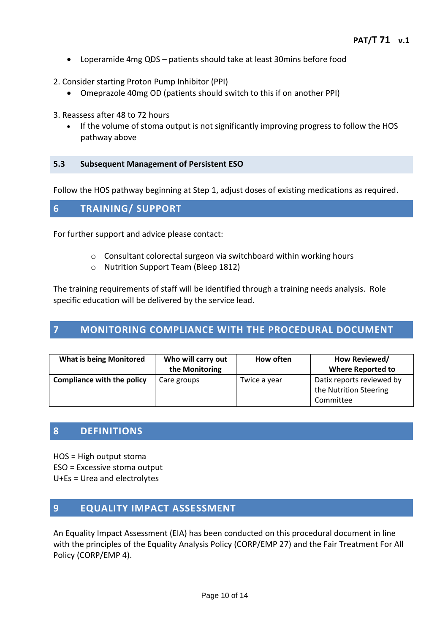- Loperamide 4mg QDS patients should take at least 30mins before food
- 2. Consider starting Proton Pump Inhibitor (PPI)
	- Omeprazole 40mg OD (patients should switch to this if on another PPI)
- 3. Reassess after 48 to 72 hours
	- If the volume of stoma output is not significantly improving progress to follow the HOS pathway above

#### <span id="page-9-0"></span>**5.3 Subsequent Management of Persistent ESO**

Follow the HOS pathway beginning at Step 1, adjust doses of existing medications as required.

#### <span id="page-9-1"></span>**6 TRAINING/ SUPPORT**

For further support and advice please contact:

- o Consultant colorectal surgeon via switchboard within working hours
- o Nutrition Support Team (Bleep 1812)

The training requirements of staff will be identified through a training needs analysis. Role specific education will be delivered by the service lead.

# <span id="page-9-2"></span>**7 MONITORING COMPLIANCE WITH THE PROCEDURAL DOCUMENT**

| <b>What is being Monitored</b>    | Who will carry out<br>the Monitoring | How often    | How Reviewed/<br><b>Where Reported to</b>                        |
|-----------------------------------|--------------------------------------|--------------|------------------------------------------------------------------|
| <b>Compliance with the policy</b> | Care groups                          | Twice a year | Datix reports reviewed by<br>the Nutrition Steering<br>Committee |

#### <span id="page-9-3"></span>**8 DEFINITIONS**

HOS = High output stoma

- ESO = Excessive stoma output
- U+Es = Urea and electrolytes

### <span id="page-9-4"></span>**9 EQUALITY IMPACT ASSESSMENT**

An Equality Impact Assessment (EIA) has been conducted on this procedural document in line with the principles of the Equality Analysis Policy (CORP/EMP 27) and the Fair Treatment For All Policy (CORP/EMP 4).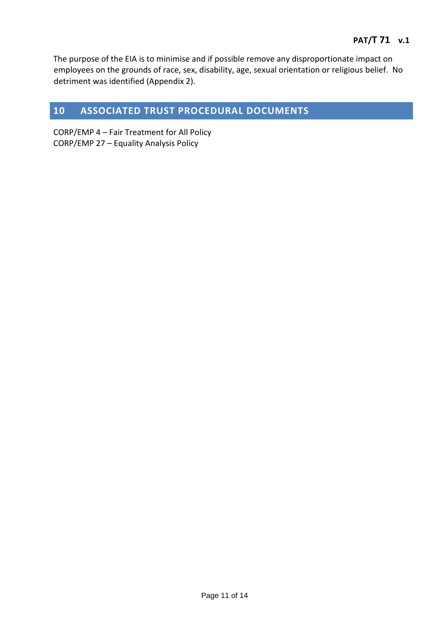The purpose of the EIA is to minimise and if possible remove any disproportionate impact on employees on the grounds of race, sex, disability, age, sexual orientation or religious belief. No detriment was identified (Appendix 2).

# <span id="page-10-0"></span>**10 ASSOCIATED TRUST PROCEDURAL DOCUMENTS**

CORP/EMP 4 – Fair Treatment for All Policy CORP/EMP 27 – Equality Analysis Policy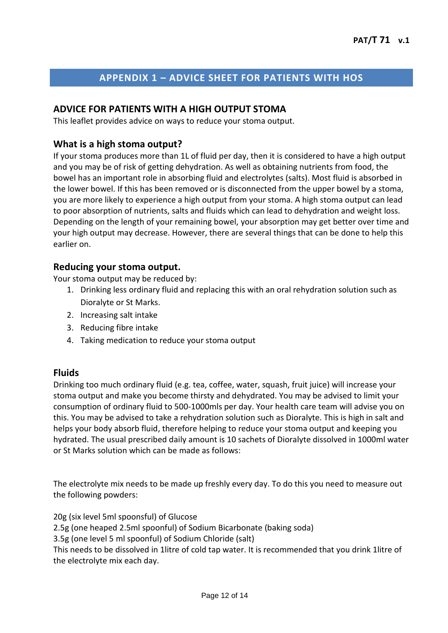# **APPENDIX 1 – ADVICE SHEET FOR PATIENTS WITH HOS**

#### <span id="page-11-0"></span>**ADVICE FOR PATIENTS WITH A HIGH OUTPUT STOMA**

This leaflet provides advice on ways to reduce your stoma output.

#### **What is a high stoma output?**

If your stoma produces more than 1L of fluid per day, then it is considered to have a high output and you may be of risk of getting dehydration. As well as obtaining nutrients from food, the bowel has an important role in absorbing fluid and electrolytes (salts). Most fluid is absorbed in the lower bowel. If this has been removed or is disconnected from the upper bowel by a stoma, you are more likely to experience a high output from your stoma. A high stoma output can lead to poor absorption of nutrients, salts and fluids which can lead to dehydration and weight loss. Depending on the length of your remaining bowel, your absorption may get better over time and your high output may decrease. However, there are several things that can be done to help this earlier on.

#### **Reducing your stoma output.**

Your stoma output may be reduced by:

- 1. Drinking less ordinary fluid and replacing this with an oral rehydration solution such as Dioralyte or St Marks.
- 2. Increasing salt intake
- 3. Reducing fibre intake
- 4. Taking medication to reduce your stoma output

#### **Fluids**

Drinking too much ordinary fluid (e.g. tea, coffee, water, squash, fruit juice) will increase your stoma output and make you become thirsty and dehydrated. You may be advised to limit your consumption of ordinary fluid to 500-1000mls per day. Your health care team will advise you on this. You may be advised to take a rehydration solution such as Dioralyte. This is high in salt and helps your body absorb fluid, therefore helping to reduce your stoma output and keeping you hydrated. The usual prescribed daily amount is 10 sachets of Dioralyte dissolved in 1000ml water or St Marks solution which can be made as follows:

The electrolyte mix needs to be made up freshly every day. To do this you need to measure out the following powders:

20g (six level 5ml spoonsful) of Glucose

2.5g (one heaped 2.5ml spoonful) of Sodium Bicarbonate (baking soda)

3.5g (one level 5 ml spoonful) of Sodium Chloride (salt)

This needs to be dissolved in 1litre of cold tap water. It is recommended that you drink 1litre of the electrolyte mix each day.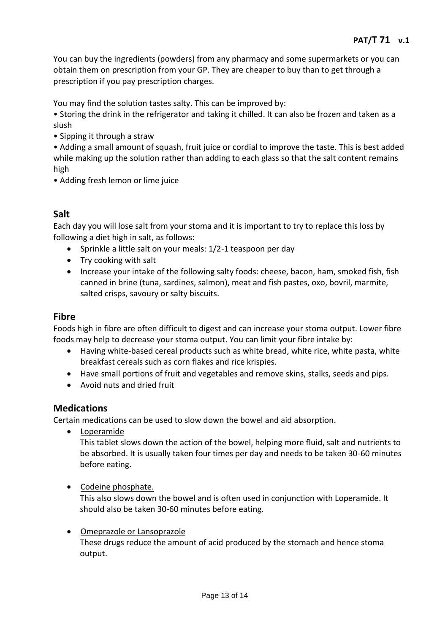You can buy the ingredients (powders) from any pharmacy and some supermarkets or you can obtain them on prescription from your GP. They are cheaper to buy than to get through a prescription if you pay prescription charges.

You may find the solution tastes salty. This can be improved by:

• Storing the drink in the refrigerator and taking it chilled. It can also be frozen and taken as a slush

• Sipping it through a straw

• Adding a small amount of squash, fruit juice or cordial to improve the taste. This is best added while making up the solution rather than adding to each glass so that the salt content remains high

• Adding fresh lemon or lime juice

# **Salt**

Each day you will lose salt from your stoma and it is important to try to replace this loss by following a diet high in salt, as follows:

- Sprinkle a little salt on your meals: 1/2-1 teaspoon per day
- Try cooking with salt
- Increase your intake of the following salty foods: cheese, bacon, ham, smoked fish, fish canned in brine (tuna, sardines, salmon), meat and fish pastes, oxo, bovril, marmite, salted crisps, savoury or salty biscuits.

#### **Fibre**

Foods high in fibre are often difficult to digest and can increase your stoma output. Lower fibre foods may help to decrease your stoma output. You can limit your fibre intake by:

- Having white-based cereal products such as white bread, white rice, white pasta, white breakfast cereals such as corn flakes and rice krispies.
- Have small portions of fruit and vegetables and remove skins, stalks, seeds and pips.
- Avoid nuts and dried fruit

#### **Medications**

Certain medications can be used to slow down the bowel and aid absorption.

Loperamide

This tablet slows down the action of the bowel, helping more fluid, salt and nutrients to be absorbed. It is usually taken four times per day and needs to be taken 30-60 minutes before eating.

• Codeine phosphate.

This also slows down the bowel and is often used in conjunction with Loperamide. It should also be taken 30-60 minutes before eating.

#### Omeprazole or Lansoprazole

These drugs reduce the amount of acid produced by the stomach and hence stoma output.